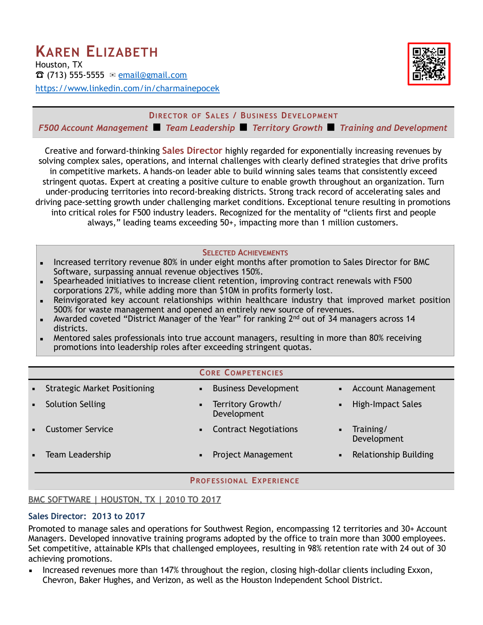

**DIRECTOR OF SALES / BUSINESS DEVELOPMENT** *F500 Account Management* ◾ *Team Leadership* ◾ *Territory Growth* ◾ *Training and Development*

Creative and forward-thinking **Sales Director** highly regarded for exponentially increasing revenues by solving complex sales, operations, and internal challenges with clearly defined strategies that drive profits in competitive markets. A hands-on leader able to build winning sales teams that consistently exceed stringent quotas. Expert at creating a positive culture to enable growth throughout an organization. Turn under-producing territories into record-breaking districts. Strong track record of accelerating sales and driving pace-setting growth under challenging market conditions. Exceptional tenure resulting in promotions into critical roles for F500 industry leaders. Recognized for the mentality of "clients first and people always," leading teams exceeding 50+, impacting more than 1 million customers.

#### **SELECTED ACHIEVEMENTS**

- **EXECT** Increased territory revenue 80% in under eight months after promotion to Sales Director for BMC Software, surpassing annual revenue objectives 150%.
- Spearheaded initiatives to increase client retention, improving contract renewals with F500 corporations 27%, while adding more than \$10M in profits formerly lost.
- **E** Reinvigorated key account relationships within healthcare industry that improved market position 500% for waste management and opened an entirely new source of revenues.
- **EXEDM** Awarded coveted "District Manager of the Year" for ranking  $2<sup>nd</sup>$  out of 34 managers across 14 districts.
- Mentored sales professionals into true account managers, resulting in more than 80% receiving promotions into leadership roles after exceeding stringent quotas.

|  |  | <b>CORE COMPETENCIES</b> |
|--|--|--------------------------|
|--|--|--------------------------|

| • Strategic Market Positioning | π.             | <b>Business Development</b>      | • Account Management     |
|--------------------------------|----------------|----------------------------------|--------------------------|
| <b>Solution Selling</b>        | $\blacksquare$ | Territory Growth/<br>Development | High-Impact Sales        |
| • Customer Service             | $\blacksquare$ | <b>Contract Negotiations</b>     | Training/<br>Development |
| Team Leadership                | $\blacksquare$ | Project Management               | Relationship Building    |

#### **PROFESSIONAL EXPERIENCE**

### **BMC SOFTWARE | HOUSTON, TX | 2010 TO 2017**

#### **Sales Director: 2013 to 2017**

Promoted to manage sales and operations for Southwest Region, encompassing 12 territories and 30+ Account Managers. Developed innovative training programs adopted by the office to train more than 3000 employees. Set competitive, attainable KPIs that challenged employees, resulting in 98% retention rate with 24 out of 30 achieving promotions.

**EXED** Increased revenues more than 147% throughout the region, closing high-dollar clients including Exxon, Chevron, Baker Hughes, and Verizon, as well as the Houston Independent School District.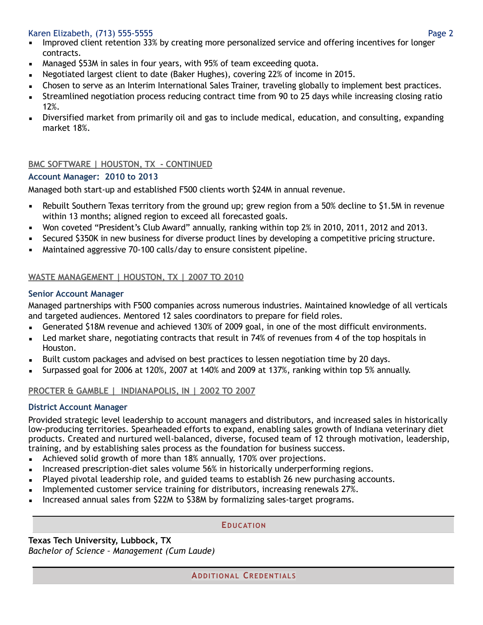## Karen Elizabeth, (713) 555-5555 Page 2

- **EXED** Improved client retention 33% by creating more personalized service and offering incentives for longer contracts.
- **EXED** Managed \$53M in sales in four years, with 95% of team exceeding quota.
- Negotiated largest client to date (Baker Hughes), covering 22% of income in 2015.
- **EXEC** Chosen to serve as an Interim International Sales Trainer, traveling globally to implement best practices.
- **EXECT** Streamlined negotiation process reducing contract time from 90 to 25 days while increasing closing ratio 12%.
- Diversified market from primarily oil and gas to include medical, education, and consulting, expanding market 18%.

# **BMC SOFTWARE | HOUSTON, TX - CONTINUED**

## **Account Manager: 2010 to 2013**

Managed both start-up and established F500 clients worth \$24M in annual revenue.

- Rebuilt Southern Texas territory from the ground up; grew region from a 50% decline to \$1.5M in revenue within 13 months; aligned region to exceed all forecasted goals.
- Won coveted "President's Club Award" annually, ranking within top 2% in 2010, 2011, 2012 and 2013.
- **EXECUTED \$350K in new business for diverse product lines by developing a competitive pricing structure.**
- Maintained aggressive 70-100 calls/day to ensure consistent pipeline.

# **WASTE MANAGEMENT | HOUSTON, TX | 2007 TO 2010**

## **Senior Account Manager**

Managed partnerships with F500 companies across numerous industries. Maintained knowledge of all verticals and targeted audiences. Mentored 12 sales coordinators to prepare for field roles.

- **EXEL Generated \$18M revenue and achieved 130% of 2009 goal, in one of the most difficult environments.**
- Led market share, negotiating contracts that result in 74% of revenues from 4 of the top hospitals in Houston.
- Built custom packages and advised on best practices to lessen negotiation time by 20 days.
- Surpassed goal for 2006 at 120%, 2007 at 140% and 2009 at 137%, ranking within top 5% annually.

# **PROCTER & GAMBLE | INDIANAPOLIS, IN | 2002 TO 2007**

## **District Account Manager**

Provided strategic level leadership to account managers and distributors, and increased sales in historically low-producing territories. Spearheaded efforts to expand, enabling sales growth of Indiana veterinary diet products. Created and nurtured well-balanced, diverse, focused team of 12 through motivation, leadership, training, and by establishing sales process as the foundation for business success.

- **EXED** Achieved solid growth of more than 18% annually, 170% over projections.
- **EXEDENT** Increased prescription-diet sales volume 56% in historically underperforming regions.
- **EXECT** Played pivotal leadership role, and guided teams to establish 26 new purchasing accounts.
- Implemented customer service training for distributors, increasing renewals 27%.
- Increased annual sales from \$22M to \$38M by formalizing sales-target programs.

### **EDUCATION**

**Texas Tech University, Lubbock, TX**  *Bachelor of Science – Management (Cum Laude)*